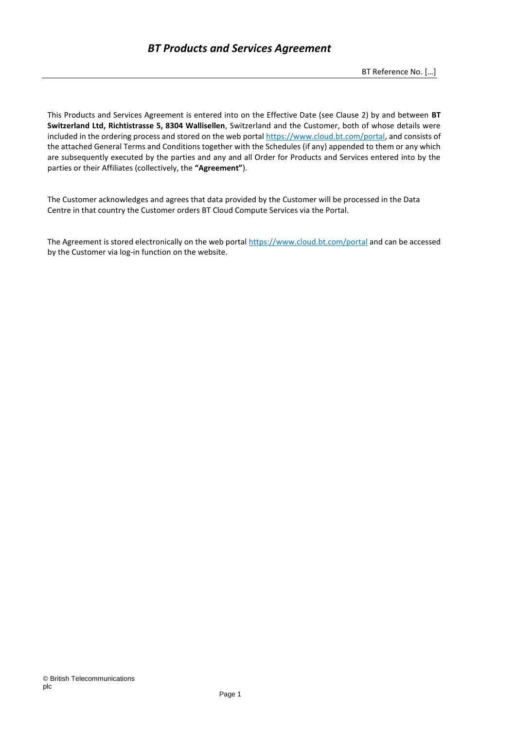This Products and Services Agreement is entered into on the Effective Date (see Clause 2) by and between **BT Switzerland Ltd, Richtistrasse 5, 8304 Wallisellen**, Switzerland and the Customer, both of whose details were included in the ordering process and stored on the web portal [https://www.cloud.bt.com/portal,](https://www.cloud.bt.com/portal) and consists of the attached General Terms and Conditions together with the Schedules (if any) appended to them or any which are subsequently executed by the parties and any and all Order for Products and Services entered into by the parties or their Affiliates (collectively, the **"Agreement"**).

The Customer acknowledges and agrees that data provided by the Customer will be processed in the Data Centre in that country the Customer orders BT Cloud Compute Services via the Portal.

The Agreement is stored electronically on the web portal<https://www.cloud.bt.com/portal> and can be accessed by the Customer via log-in function on the website.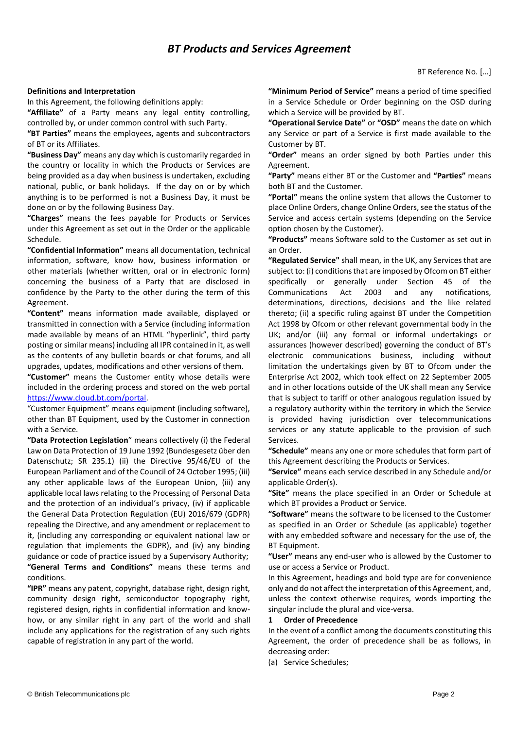#### **Definitions and Interpretation**

In this Agreement, the following definitions apply:

**"Affiliate"** of a Party means any legal entity controlling, controlled by, or under common control with such Party.

**"BT Parties"** means the employees, agents and subcontractors of BT or its Affiliates.

**"Business Day"** means any day which is customarily regarded in the country or locality in which the Products or Services are being provided as a day when business is undertaken, excluding national, public, or bank holidays. If the day on or by which anything is to be performed is not a Business Day, it must be done on or by the following Business Day.

**"Charges"** means the fees payable for Products or Services under this Agreement as set out in the Order or the applicable Schedule.

**"Confidential Information"** means all documentation, technical information, software, know how, business information or other materials (whether written, oral or in electronic form) concerning the business of a Party that are disclosed in confidence by the Party to the other during the term of this Agreement.

**"Content"** means information made available, displayed or transmitted in connection with a Service (including information made available by means of an HTML "hyperlink", third party posting or similar means) including all IPR contained in it, as well as the contents of any bulletin boards or chat forums, and all upgrades, updates, modifications and other versions of them.

**"Customer"** means the Customer entity whose details were included in the ordering process and stored on the web portal [https://www.cloud.bt.com/portal.](https://www.cloud.bt.com/portal)

"Customer Equipment" means equipment (including software), other than BT Equipment, used by the Customer in connection with a Service.

**"Data Protection Legislation**" means collectively (i) the Federal Law on Data Protection of 19 June 1992 (Bundesgesetz über den Datenschutz; SR 235.1) (ii) the Directive 95/46/EU of the European Parliament and of the Council of 24 October 1995; (iii) any other applicable laws of the European Union, (iii) any applicable local laws relating to the Processing of Personal Data and the protection of an individual's privacy, (iv) if applicable the General Data Protection Regulation (EU) 2016/679 (GDPR) repealing the Directive, and any amendment or replacement to it, (including any corresponding or equivalent national law or regulation that implements the GDPR), and (iv) any binding guidance or code of practice issued by a Supervisory Authority; **"General Terms and Conditions"** means these terms and conditions.

**"IPR"** means any patent, copyright, database right, design right, community design right, semiconductor topography right, registered design, rights in confidential information and knowhow, or any similar right in any part of the world and shall include any applications for the registration of any such rights capable of registration in any part of the world.

**"Minimum Period of Service"** means a period of time specified in a Service Schedule or Order beginning on the OSD during which a Service will be provided by BT.

**"Operational Service Date"** or **"OSD"** means the date on which any Service or part of a Service is first made available to the Customer by BT.

**"Order"** means an order signed by both Parties under this Agreement.

**"Party"** means either BT or the Customer and **"Parties"** means both BT and the Customer.

**"Portal"** means the online system that allows the Customer to place Online Orders, change Online Orders, see the status of the Service and access certain systems (depending on the Service option chosen by the Customer).

**"Products"** means Software sold to the Customer as set out in an Order.

**"Regulated Service"** shall mean, in the UK, any Services that are subject to: (i) conditions that are imposed by Ofcom on BT either specifically or generally under Section 45 of the Communications Act 2003 and any notifications, determinations, directions, decisions and the like related thereto; (ii) a specific ruling against BT under the Competition Act 1998 by Ofcom or other relevant governmental body in the UK; and/or (iii) any formal or informal undertakings or assurances (however described) governing the conduct of BT's electronic communications business, including without limitation the undertakings given by BT to Ofcom under the Enterprise Act 2002, which took effect on 22 September 2005 and in other locations outside of the UK shall mean any Service that is subject to tariff or other analogous regulation issued by a regulatory authority within the territory in which the Service is provided having jurisdiction over telecommunications services or any statute applicable to the provision of such Services.

**"Schedule"** means any one or more schedules that form part of this Agreement describing the Products or Services.

**"Service"** means each service described in any Schedule and/or applicable Order(s).

**"Site"** means the place specified in an Order or Schedule at which BT provides a Product or Service.

**"Software"** means the software to be licensed to the Customer as specified in an Order or Schedule (as applicable) together with any embedded software and necessary for the use of, the BT Equipment.

**"User"** means any end-user who is allowed by the Customer to use or access a Service or Product.

In this Agreement, headings and bold type are for convenience only and do not affect the interpretation of this Agreement, and, unless the context otherwise requires, words importing the singular include the plural and vice-versa.

## **1 Order of Precedence**

In the event of a conflict among the documents constituting this Agreement, the order of precedence shall be as follows, in decreasing order:

(a) Service Schedules;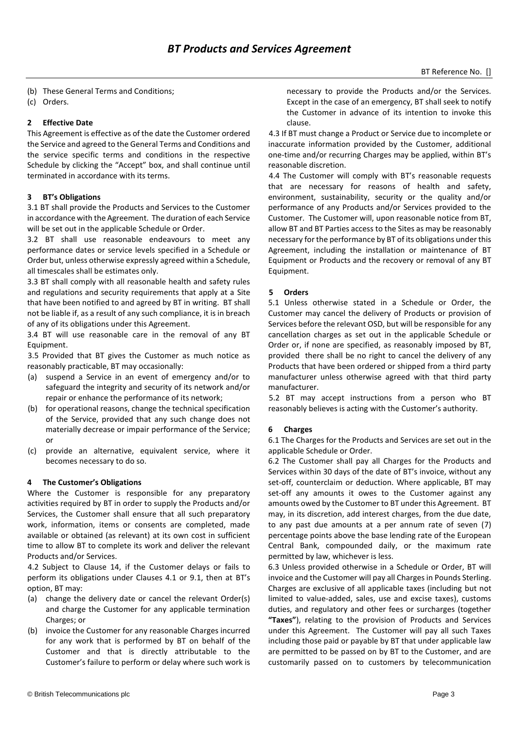- (b) These General Terms and Conditions;
- (c) Orders.

# **2 Effective Date**

This Agreement is effective as of the date the Customer ordered the Service and agreed to the General Terms and Conditions and the service specific terms and conditions in the respective Schedule by clicking the "Accept" box, and shall continue until terminated in accordance with its terms.

## **3 BT's Obligations**

3.1 BT shall provide the Products and Services to the Customer in accordance with the Agreement. The duration of each Service will be set out in the applicable Schedule or Order.

3.2 BT shall use reasonable endeavours to meet any performance dates or service levels specified in a Schedule or Order but, unless otherwise expressly agreed within a Schedule, all timescales shall be estimates only.

3.3 BT shall comply with all reasonable health and safety rules and regulations and security requirements that apply at a Site that have been notified to and agreed by BT in writing. BT shall not be liable if, as a result of any such compliance, it is in breach of any of its obligations under this Agreement.

3.4 BT will use reasonable care in the removal of any BT Equipment.

3.5 Provided that BT gives the Customer as much notice as reasonably practicable, BT may occasionally:

- (a) suspend a Service in an event of emergency and/or to safeguard the integrity and security of its network and/or repair or enhance the performance of its network;
- (b) for operational reasons, change the technical specification of the Service, provided that any such change does not materially decrease or impair performance of the Service; or
- (c) provide an alternative, equivalent service, where it becomes necessary to do so.

## **4 The Customer's Obligations**

Where the Customer is responsible for any preparatory activities required by BT in order to supply the Products and/or Services, the Customer shall ensure that all such preparatory work, information, items or consents are completed, made available or obtained (as relevant) at its own cost in sufficient time to allow BT to complete its work and deliver the relevant Products and/or Services.

4.2 Subject to Clause 14, if the Customer delays or fails to perform its obligations under Clauses 4.1 or 9.1, then at BT's option, BT may:

- (a) change the delivery date or cancel the relevant Order(s) and charge the Customer for any applicable termination Charges; or
- (b) invoice the Customer for any reasonable Charges incurred for any work that is performed by BT on behalf of the Customer and that is directly attributable to the Customer's failure to perform or delay where such work is

necessary to provide the Products and/or the Services. Except in the case of an emergency, BT shall seek to notify the Customer in advance of its intention to invoke this clause.

4.3 If BT must change a Product or Service due to incomplete or inaccurate information provided by the Customer, additional one-time and/or recurring Charges may be applied, within BT's reasonable discretion.

4.4 The Customer will comply with BT's reasonable requests that are necessary for reasons of health and safety, environment, sustainability, security or the quality and/or performance of any Products and/or Services provided to the Customer. The Customer will, upon reasonable notice from BT, allow BT and BT Parties access to the Sites as may be reasonably necessary for the performance by BT of its obligations under this Agreement, including the installation or maintenance of BT Equipment or Products and the recovery or removal of any BT Equipment.

## **5 Orders**

5.1 Unless otherwise stated in a Schedule or Order, the Customer may cancel the delivery of Products or provision of Services before the relevant OSD, but will be responsible for any cancellation charges as set out in the applicable Schedule or Order or, if none are specified, as reasonably imposed by BT, provided there shall be no right to cancel the delivery of any Products that have been ordered or shipped from a third party manufacturer unless otherwise agreed with that third party manufacturer.

5.2 BT may accept instructions from a person who BT reasonably believes is acting with the Customer's authority.

# **6 Charges**

6.1 The Charges for the Products and Services are set out in the applicable Schedule or Order.

6.2 The Customer shall pay all Charges for the Products and Services within 30 days of the date of BT's invoice, without any set-off, counterclaim or deduction. Where applicable, BT may set-off any amounts it owes to the Customer against any amounts owed by the Customer to BT under this Agreement. BT may, in its discretion, add interest charges, from the due date, to any past due amounts at a per annum rate of seven (7) percentage points above the base lending rate of the European Central Bank, compounded daily, or the maximum rate permitted by law, whichever is less.

6.3 Unless provided otherwise in a Schedule or Order, BT will invoice and the Customer will pay all Charges in Pounds Sterling. Charges are exclusive of all applicable taxes (including but not limited to value-added, sales, use and excise taxes), customs duties, and regulatory and other fees or surcharges (together **"Taxes"**), relating to the provision of Products and Services under this Agreement. The Customer will pay all such Taxes including those paid or payable by BT that under applicable law are permitted to be passed on by BT to the Customer, and are customarily passed on to customers by telecommunication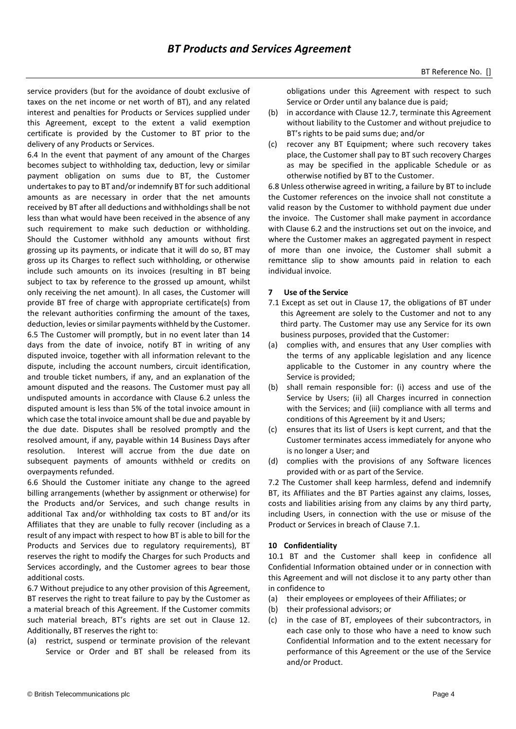service providers (but for the avoidance of doubt exclusive of taxes on the net income or net worth of BT), and any related interest and penalties for Products or Services supplied under this Agreement, except to the extent a valid exemption certificate is provided by the Customer to BT prior to the delivery of any Products or Services.

6.4 In the event that payment of any amount of the Charges becomes subject to withholding tax, deduction, levy or similar payment obligation on sums due to BT, the Customer undertakes to pay to BT and/or indemnify BT for such additional amounts as are necessary in order that the net amounts received by BT after all deductions and withholdings shall be not less than what would have been received in the absence of any such requirement to make such deduction or withholding. Should the Customer withhold any amounts without first grossing up its payments, or indicate that it will do so, BT may gross up its Charges to reflect such withholding, or otherwise include such amounts on its invoices (resulting in BT being subject to tax by reference to the grossed up amount, whilst only receiving the net amount). In all cases, the Customer will provide BT free of charge with appropriate certificate(s) from the relevant authorities confirming the amount of the taxes, deduction, levies or similar payments withheld by the Customer. 6.5 The Customer will promptly, but in no event later than 14 days from the date of invoice, notify BT in writing of any disputed invoice, together with all information relevant to the dispute, including the account numbers, circuit identification, and trouble ticket numbers, if any, and an explanation of the amount disputed and the reasons. The Customer must pay all undisputed amounts in accordance with Clause 6.2 unless the disputed amount is less than 5% of the total invoice amount in which case the total invoice amount shall be due and payable by the due date. Disputes shall be resolved promptly and the resolved amount, if any, payable within 14 Business Days after resolution. Interest will accrue from the due date on subsequent payments of amounts withheld or credits on overpayments refunded.

6.6 Should the Customer initiate any change to the agreed billing arrangements (whether by assignment or otherwise) for the Products and/or Services, and such change results in additional Tax and/or withholding tax costs to BT and/or its Affiliates that they are unable to fully recover (including as a result of any impact with respect to how BT is able to bill for the Products and Services due to regulatory requirements), BT reserves the right to modify the Charges for such Products and Services accordingly, and the Customer agrees to bear those additional costs.

6.7 Without prejudice to any other provision of this Agreement, BT reserves the right to treat failure to pay by the Customer as a material breach of this Agreement. If the Customer commits such material breach, BT's rights are set out in Clause 12. Additionally, BT reserves the right to:

(a) restrict, suspend or terminate provision of the relevant Service or Order and BT shall be released from its

obligations under this Agreement with respect to such Service or Order until any balance due is paid;

- (b) in accordance with Clause 12.7, terminate this Agreement without liability to the Customer and without prejudice to BT's rights to be paid sums due; and/or
- (c) recover any BT Equipment; where such recovery takes place, the Customer shall pay to BT such recovery Charges as may be specified in the applicable Schedule or as otherwise notified by BT to the Customer.

6.8 Unless otherwise agreed in writing, a failure by BT to include the Customer references on the invoice shall not constitute a valid reason by the Customer to withhold payment due under the invoice. The Customer shall make payment in accordance with Clause 6.2 and the instructions set out on the invoice, and where the Customer makes an aggregated payment in respect of more than one invoice, the Customer shall submit a remittance slip to show amounts paid in relation to each individual invoice.

# **7 Use of the Service**

- 7.1 Except as set out in Clause 17, the obligations of BT under this Agreement are solely to the Customer and not to any third party. The Customer may use any Service for its own business purposes, provided that the Customer:
- (a) complies with, and ensures that any User complies with the terms of any applicable legislation and any licence applicable to the Customer in any country where the Service is provided;
- (b) shall remain responsible for: (i) access and use of the Service by Users; (ii) all Charges incurred in connection with the Services; and (iii) compliance with all terms and conditions of this Agreement by it and Users;
- (c) ensures that its list of Users is kept current, and that the Customer terminates access immediately for anyone who is no longer a User; and
- (d) complies with the provisions of any Software licences provided with or as part of the Service.

7.2 The Customer shall keep harmless, defend and indemnify BT, its Affiliates and the BT Parties against any claims, losses, costs and liabilities arising from any claims by any third party, including Users, in connection with the use or misuse of the Product or Services in breach of Clause 7.1.

# **10 Confidentiality**

10.1 BT and the Customer shall keep in confidence all Confidential Information obtained under or in connection with this Agreement and will not disclose it to any party other than in confidence to

- (a) their employees or employees of their Affiliates; or
- (b) their professional advisors; or
- (c) in the case of BT, employees of their subcontractors, in each case only to those who have a need to know such Confidential Information and to the extent necessary for performance of this Agreement or the use of the Service and/or Product.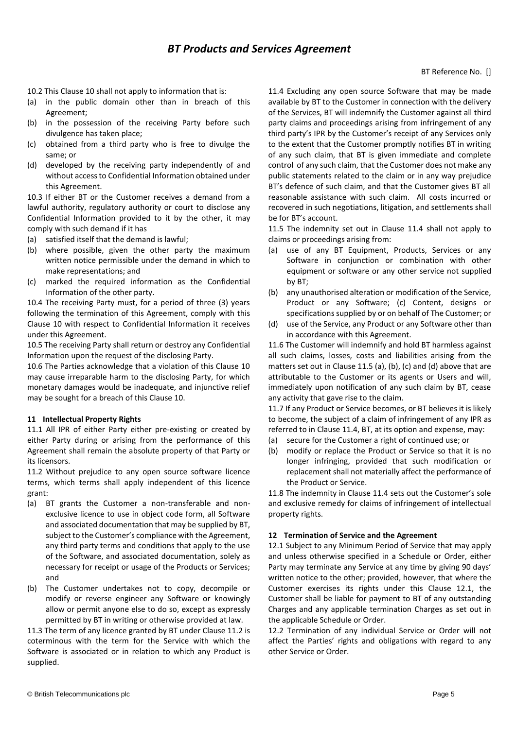- 10.2 This Clause 10 shall not apply to information that is:
- (a) in the public domain other than in breach of this Agreement;
- (b) in the possession of the receiving Party before such divulgence has taken place;
- (c) obtained from a third party who is free to divulge the same; or
- (d) developed by the receiving party independently of and without access to Confidential Information obtained under this Agreement.

10.3 If either BT or the Customer receives a demand from a lawful authority, regulatory authority or court to disclose any Confidential Information provided to it by the other, it may comply with such demand if it has

- (a) satisfied itself that the demand is lawful;
- (b) where possible, given the other party the maximum written notice permissible under the demand in which to make representations; and
- (c) marked the required information as the Confidential Information of the other party.

10.4 The receiving Party must, for a period of three (3) years following the termination of this Agreement, comply with this Clause 10 with respect to Confidential Information it receives under this Agreement.

10.5 The receiving Party shall return or destroy any Confidential Information upon the request of the disclosing Party.

10.6 The Parties acknowledge that a violation of this Clause 10 may cause irreparable harm to the disclosing Party, for which monetary damages would be inadequate, and injunctive relief may be sought for a breach of this Clause 10.

## **11 Intellectual Property Rights**

11.1 All IPR of either Party either pre-existing or created by either Party during or arising from the performance of this Agreement shall remain the absolute property of that Party or its licensors.

11.2 Without prejudice to any open source software licence terms, which terms shall apply independent of this licence grant:

- (a) BT grants the Customer a non-transferable and nonexclusive licence to use in object code form, all Software and associated documentation that may be supplied by BT, subject to the Customer's compliance with the Agreement, any third party terms and conditions that apply to the use of the Software, and associated documentation, solely as necessary for receipt or usage of the Products or Services; and
- (b) The Customer undertakes not to copy, decompile or modify or reverse engineer any Software or knowingly allow or permit anyone else to do so, except as expressly permitted by BT in writing or otherwise provided at law.

11.3 The term of any licence granted by BT under Clause 11.2 is coterminous with the term for the Service with which the Software is associated or in relation to which any Product is supplied.

11.4 Excluding any open source Software that may be made available by BT to the Customer in connection with the delivery of the Services, BT will indemnify the Customer against all third party claims and proceedings arising from infringement of any third party's IPR by the Customer's receipt of any Services only to the extent that the Customer promptly notifies BT in writing of any such claim, that BT is given immediate and complete control of any such claim, that the Customer does not make any public statements related to the claim or in any way prejudice BT's defence of such claim, and that the Customer gives BT all reasonable assistance with such claim. All costs incurred or recovered in such negotiations, litigation, and settlements shall be for BT's account.

11.5 The indemnity set out in Clause 11.4 shall not apply to claims or proceedings arising from:

- (a) use of any BT Equipment, Products, Services or any Software in conjunction or combination with other equipment or software or any other service not supplied by BT;
- (b) any unauthorised alteration or modification of the Service, Product or any Software; (c) Content, designs or specifications supplied by or on behalf of The Customer; or
- (d) use of the Service, any Product or any Software other than in accordance with this Agreement.

11.6 The Customer will indemnify and hold BT harmless against all such claims, losses, costs and liabilities arising from the matters set out in Clause 11.5 (a), (b), (c) and (d) above that are attributable to the Customer or its agents or Users and will, immediately upon notification of any such claim by BT, cease any activity that gave rise to the claim.

11.7 If any Product or Service becomes, or BT believes it is likely to become, the subject of a claim of infringement of any IPR as referred to in Clause 11.4, BT, at its option and expense, may:

- (a) secure for the Customer a right of continued use; or
- (b) modify or replace the Product or Service so that it is no longer infringing, provided that such modification or replacement shall not materially affect the performance of the Product or Service.

11.8 The indemnity in Clause 11.4 sets out the Customer's sole and exclusive remedy for claims of infringement of intellectual property rights.

# **12 Termination of Service and the Agreement**

12.1 Subject to any Minimum Period of Service that may apply and unless otherwise specified in a Schedule or Order, either Party may terminate any Service at any time by giving 90 days' written notice to the other; provided, however, that where the Customer exercises its rights under this Clause 12.1, the Customer shall be liable for payment to BT of any outstanding Charges and any applicable termination Charges as set out in the applicable Schedule or Order.

12.2 Termination of any individual Service or Order will not affect the Parties' rights and obligations with regard to any other Service or Order.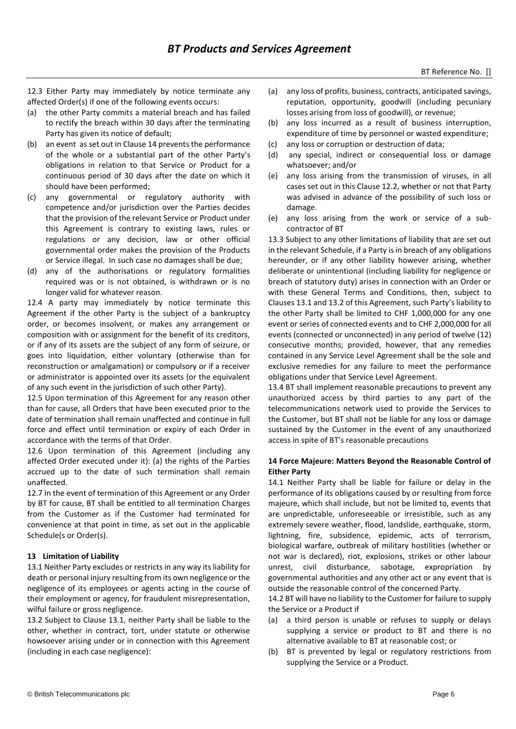12.3 Either Party may immediately by notice terminate any affected Order(s) if one of the following events occurs:

- (a) the other Party commits a material breach and has failed to rectify the breach within 30 days after the terminating Party has given its notice of default;
- (b) an event as set out in Clause 14 prevents the performance of the whole or a substantial part of the other Party's obligations in relation to that Service or Product for a continuous period of 30 days after the date on which it should have been performed;
- (c) any governmental or regulatory authority with competence and/or jurisdiction over the Parties decides that the provision of the relevant Service or Product under this Agreement is contrary to existing laws, rules or regulations or any decision, law or other official governmental order makes the provision of the Products or Service illegal. In such case no damages shall be due;
- (d) any of the authorisations or regulatory formalities required was or is not obtained, is withdrawn or is no longer valid for whatever reason.

12.4 A party may immediately by notice terminate this Agreement if the other Party is the subject of a bankruptcy order, or becomes insolvent, or makes any arrangement or composition with or assignment for the benefit of its creditors, or if any of its assets are the subject of any form of seizure, or goes into liquidation, either voluntary (otherwise than for reconstruction or amalgamation) or compulsory or if a receiver or administrator is appointed over its assets (or the equivalent of any such event in the jurisdiction of such other Party).

12.5 Upon termination of this Agreement for any reason other than for cause, all Orders that have been executed prior to the date of termination shall remain unaffected and continue in full force and effect until termination or expiry of each Order in accordance with the terms of that Order.

12.6 Upon termination of this Agreement (including any affected Order executed under it): (a) the rights of the Parties accrued up to the date of such termination shall remain unaffected.

12.7 In the event of termination of this Agreement or any Order by BT for cause, BT shall be entitled to all termination Charges from the Customer as if the Customer had terminated for convenience at that point in time, as set out in the applicable Schedule(s or Order(s).

## **13 Limitation of Liability**

13.1 Neither Party excludes or restricts in any way its liability for death or personal injury resulting from its own negligence or the negligence of its employees or agents acting in the course of their employment or agency, for fraudulent misrepresentation, wilful failure or gross negligence.

13.2 Subject to Clause 13.1, neither Party shall be liable to the other, whether in contract, tort, under statute or otherwise howsoever arising under or in connection with this Agreement (including in each case negligence):

- (a) any loss of profits, business, contracts, anticipated savings, reputation, opportunity, goodwill (including pecuniary losses arising from loss of goodwill), or revenue;
- (b) any loss incurred as a result of business interruption, expenditure of time by personnel or wasted expenditure;
- (c) any loss or corruption or destruction of data;
- (d) any special, indirect or consequential loss or damage whatsoever; and/or
- (e) any loss arising from the transmission of viruses, in all cases set out in this Clause 12.2, whether or not that Party was advised in advance of the possibility of such loss or damage.
- (e) any loss arising from the work or service of a subcontractor of BT

13.3 Subject to any other limitations of liability that are set out in the relevant Schedule, if a Party is in breach of any obligations hereunder, or if any other liability however arising, whether deliberate or unintentional (including liability for negligence or breach of statutory duty) arises in connection with an Order or with these General Terms and Conditions, then, subject to Clauses 13.1 and 13.2 of this Agreement, such Party's liability to the other Party shall be limited to CHF 1,000,000 for any one event or series of connected events and to CHF 2,000,000 for all events (connected or unconnected) in any period of twelve (12) consecutive months; provided, however, that any remedies contained in any Service Level Agreement shall be the sole and exclusive remedies for any failure to meet the performance obligations under that Service Level Agreement.

13.4 BT shall implement reasonable precautions to prevent any unauthorized access by third parties to any part of the telecommunications network used to provide the Services to the Customer, but BT shall not be liable for any loss or damage sustained by the Customer in the event of any unauthorized access in spite of BT's reasonable precautions

## **14 Force Majeure: Matters Beyond the Reasonable Control of Either Party**

14.1 Neither Party shall be liable for failure or delay in the performance of its obligations caused by or resulting from force majeure, which shall include, but not be limited to, events that are unpredictable, unforeseeable or irresistible, such as any extremely severe weather, flood, landslide, earthquake, storm, lightning, fire, subsidence, epidemic, acts of terrorism, biological warfare, outbreak of military hostilities (whether or not war is declared), riot, explosions, strikes or other labour unrest, civil disturbance, sabotage, expropriation by governmental authorities and any other act or any event that is outside the reasonable control of the concerned Party.

14.2 BT will have no liability to the Customer for failure to supply the Service or a Product if

- (a) a third person is unable or refuses to supply or delays supplying a service or product to BT and there is no alternative available to BT at reasonable cost; or
- (b) BT is prevented by legal or regulatory restrictions from supplying the Service or a Product.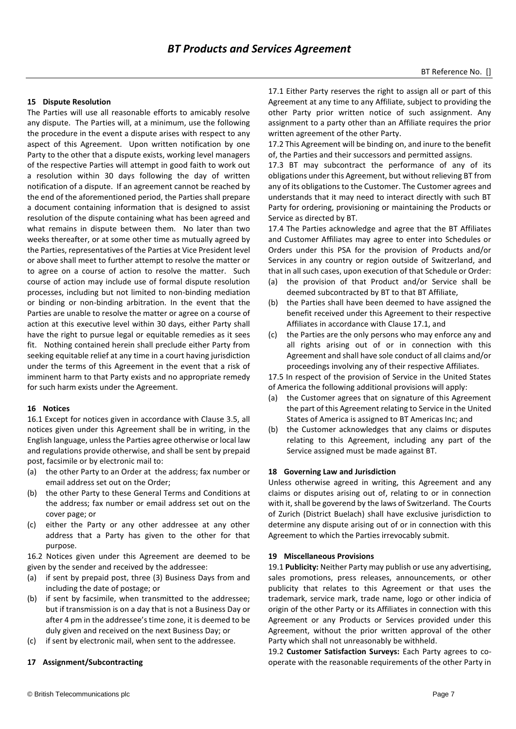#### **15 Dispute Resolution**

The Parties will use all reasonable efforts to amicably resolve any dispute. The Parties will, at a minimum, use the following the procedure in the event a dispute arises with respect to any aspect of this Agreement. Upon written notification by one Party to the other that a dispute exists, working level managers of the respective Parties will attempt in good faith to work out a resolution within 30 days following the day of written notification of a dispute. If an agreement cannot be reached by the end of the aforementioned period, the Parties shall prepare a document containing information that is designed to assist resolution of the dispute containing what has been agreed and what remains in dispute between them. No later than two weeks thereafter, or at some other time as mutually agreed by the Parties, representatives of the Parties at Vice President level or above shall meet to further attempt to resolve the matter or to agree on a course of action to resolve the matter. Such course of action may include use of formal dispute resolution processes, including but not limited to non-binding mediation or binding or non-binding arbitration. In the event that the Parties are unable to resolve the matter or agree on a course of action at this executive level within 30 days, either Party shall have the right to pursue legal or equitable remedies as it sees fit. Nothing contained herein shall preclude either Party from seeking equitable relief at any time in a court having jurisdiction under the terms of this Agreement in the event that a risk of imminent harm to that Party exists and no appropriate remedy for such harm exists under the Agreement.

#### **16 Notices**

16.1 Except for notices given in accordance with Clause 3.5, all notices given under this Agreement shall be in writing, in the English language, unless the Parties agree otherwise or local law and regulations provide otherwise, and shall be sent by prepaid post, facsimile or by electronic mail to:

- (a) the other Party to an Order at the address; fax number or email address set out on the Order;
- (b) the other Party to these General Terms and Conditions at the address; fax number or email address set out on the cover page; or
- (c) either the Party or any other addressee at any other address that a Party has given to the other for that purpose.

16.2 Notices given under this Agreement are deemed to be given by the sender and received by the addressee:

- (a) if sent by prepaid post, three (3) Business Days from and including the date of postage; or
- (b) if sent by facsimile, when transmitted to the addressee; but if transmission is on a day that is not a Business Day or after 4 pm in the addressee's time zone, it is deemed to be duly given and received on the next Business Day; or
- (c) if sent by electronic mail, when sent to the addressee.

#### **17 Assignment/Subcontracting**

17.1 Either Party reserves the right to assign all or part of this Agreement at any time to any Affiliate, subject to providing the other Party prior written notice of such assignment. Any assignment to a party other than an Affiliate requires the prior written agreement of the other Party.

17.2 This Agreement will be binding on, and inure to the benefit of, the Parties and their successors and permitted assigns.

17.3 BT may subcontract the performance of any of its obligations under this Agreement, but without relieving BT from any of its obligations to the Customer. The Customer agrees and understands that it may need to interact directly with such BT Party for ordering, provisioning or maintaining the Products or Service as directed by BT.

17.4 The Parties acknowledge and agree that the BT Affiliates and Customer Affiliates may agree to enter into Schedules or Orders under this PSA for the provision of Products and/or Services in any country or region outside of Switzerland, and that in all such cases, upon execution of that Schedule or Order:

- (a) the provision of that Product and/or Service shall be deemed subcontracted by BT to that BT Affiliate,
- (b) the Parties shall have been deemed to have assigned the benefit received under this Agreement to their respective Affiliates in accordance with Clause 17.1, and
- (c) the Parties are the only persons who may enforce any and all rights arising out of or in connection with this Agreement and shall have sole conduct of all claims and/or proceedings involving any of their respective Affiliates.

17.5 In respect of the provision of Service in the United States of America the following additional provisions will apply:

- (a) the Customer agrees that on signature of this Agreement the part of this Agreement relating to Service in the United States of America is assigned to BT Americas Inc; and
- (b) the Customer acknowledges that any claims or disputes relating to this Agreement, including any part of the Service assigned must be made against BT.

## **18 Governing Law and Jurisdiction**

Unless otherwise agreed in writing, this Agreement and any claims or disputes arising out of, relating to or in connection with it, shall be goverend by the laws of Switzerland. The Courts of Zurich (District Buelach) shall have exclusive jurisdiction to determine any dispute arising out of or in connection with this Agreement to which the Parties irrevocably submit.

#### **19 Miscellaneous Provisions**

19.1 **Publicity:** Neither Party may publish or use any advertising, sales promotions, press releases, announcements, or other publicity that relates to this Agreement or that uses the trademark, service mark, trade name, logo or other indicia of origin of the other Party or its Affiliates in connection with this Agreement or any Products or Services provided under this Agreement, without the prior written approval of the other Party which shall not unreasonably be withheld.

19.2 **Customer Satisfaction Surveys:** Each Party agrees to cooperate with the reasonable requirements of the other Party in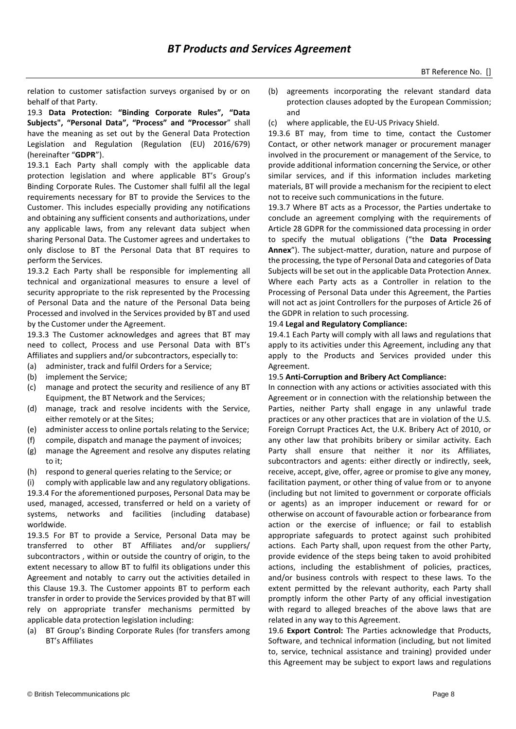relation to customer satisfaction surveys organised by or on behalf of that Party.

19.3 **Data Protection: "Binding Corporate Rules", "Data Subjects", "Personal Data", "Process" and "Processor**" shall have the meaning as set out by the General Data Protection Legislation and Regulation (Regulation (EU) 2016/679) (hereinafter "**GDPR**").

19.3.1 Each Party shall comply with the applicable data protection legislation and where applicable BT's Group's Binding Corporate Rules. The Customer shall fulfil all the legal requirements necessary for BT to provide the Services to the Customer. This includes especially providing any notifications and obtaining any sufficient consents and authorizations, under any applicable laws, from any relevant data subject when sharing Personal Data. The Customer agrees and undertakes to only disclose to BT the Personal Data that BT requires to perform the Services.

19.3.2 Each Party shall be responsible for implementing all technical and organizational measures to ensure a level of security appropriate to the risk represented by the Processing of Personal Data and the nature of the Personal Data being Processed and involved in the Services provided by BT and used by the Customer under the Agreement.

19.3.3 The Customer acknowledges and agrees that BT may need to collect, Process and use Personal Data with BT's Affiliates and suppliers and/or subcontractors, especially to:

- (a) administer, track and fulfil Orders for a Service;
- (b) implement the Service;
- (c) manage and protect the security and resilience of any BT Equipment, the BT Network and the Services;
- (d) manage, track and resolve incidents with the Service, either remotely or at the Sites;
- (e) administer access to online portals relating to the Service;
- (f) compile, dispatch and manage the payment of invoices;
- (g) manage the Agreement and resolve any disputes relating to it;
- (h) respond to general queries relating to the Service; or

(i) comply with applicable law and any regulatory obligations. 19.3.4 For the aforementioned purposes, Personal Data may be used, managed, accessed, transferred or held on a variety of systems, networks and facilities (including database) worldwide.

19.3.5 For BT to provide a Service, Personal Data may be transferred to other BT Affiliates and/or suppliers/ subcontractors , within or outside the country of origin, to the extent necessary to allow BT to fulfil its obligations under this Agreement and notably to carry out the activities detailed in this Clause 19.3. The Customer appoints BT to perform each transfer in order to provide the Services provided by that BT will rely on appropriate transfer mechanisms permitted by applicable data protection legislation including:

(a) BT Group's Binding Corporate Rules (for transfers among BT's Affiliates

- (b) agreements incorporating the relevant standard data protection clauses adopted by the European Commission; and
- (c) where applicable, the EU-US Privacy Shield.

19.3.6 BT may, from time to time, contact the Customer Contact, or other network manager or procurement manager involved in the procurement or management of the Service, to provide additional information concerning the Service, or other similar services, and if this information includes marketing materials, BT will provide a mechanism for the recipient to elect not to receive such communications in the future.

19.3.7 Where BT acts as a Processor, the Parties undertake to conclude an agreement complying with the requirements of Article 28 GDPR for the commissioned data processing in order to specify the mutual obligations ("the **Data Processing Annex**"). The subject-matter, duration, nature and purpose of the processing, the type of Personal Data and categories of Data Subjects will be set out in the applicable Data Protection Annex. Where each Party acts as a Controller in relation to the Processing of Personal Data under this Agreement, the Parties will not act as joint Controllers for the purposes of Article 26 of the GDPR in relation to such processing.

## 19.4 **Legal and Regulatory Compliance:**

19.4.1 Each Party will comply with all laws and regulations that apply to its activities under this Agreement, including any that apply to the Products and Services provided under this Agreement.

## 19.5 **Anti-Corruption and Bribery Act Compliance:**

In connection with any actions or activities associated with this Agreement or in connection with the relationship between the Parties, neither Party shall engage in any unlawful trade practices or any other practices that are in violation of the U.S. Foreign Corrupt Practices Act, the U.K. Bribery Act of 2010, or any other law that prohibits bribery or similar activity. Each Party shall ensure that neither it nor its Affiliates, subcontractors and agents: either directly or indirectly, seek, receive, accept, give, offer, agree or promise to give any money, facilitation payment, or other thing of value from or to anyone (including but not limited to government or corporate officials or agents) as an improper inducement or reward for or otherwise on account of favourable action or forbearance from action or the exercise of influence; or fail to establish appropriate safeguards to protect against such prohibited actions. Each Party shall, upon request from the other Party, provide evidence of the steps being taken to avoid prohibited actions, including the establishment of policies, practices, and/or business controls with respect to these laws. To the extent permitted by the relevant authority, each Party shall promptly inform the other Party of any official investigation with regard to alleged breaches of the above laws that are related in any way to this Agreement.

19.6 **Export Control:** The Parties acknowledge that Products, Software, and technical information (including, but not limited to, service, technical assistance and training) provided under this Agreement may be subject to export laws and regulations